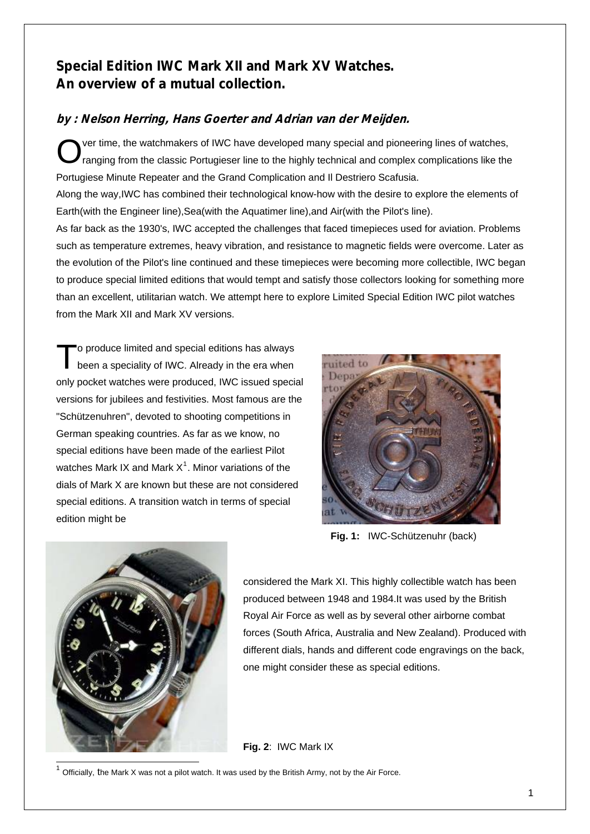## Special Edition IWC Mark XII and Mark XV Watches. An overview of a mutual collection.

## by : Nelson Herring, Hans Goerter and Adrian van der Meijden.

ver time, the watchmakers of IWC have developed many special and pioneering lines of watches, O ver time, the watchmakers of IWC have developed many special and pioneering lines of watches,<br>
ranging from the classic Portugieser line to the highly technical and complex complications like the Portugiese Minute Repeater and the Grand Complication and Il Destriero Scafusia. Along the way,IWC has combined their technological know-how with the desire to explore the elements of Earth(with the Engineer line),Sea(with the Aquatimer line),and Air(with the Pilot's line). As far back as the 1930's, IWC accepted the challenges that faced timepieces used for aviation. Problems such as temperature extremes, heavy vibration, and resistance to magnetic fields were overcome. Later as the evolution of the Pilot's line continued and these timepieces were becoming more collectible, IWC began to produce special limited editions that would tempt and satisfy those collectors looking for something more than an excellent, utilitarian watch. We attempt here to explore Limited Special Edition IWC pilot watches from the Mark XII and Mark XV versions.

o produce limited and special editions has always To produce limited and special editions has always<br>been a speciality of IWC. Already in the era when only pocket watches were produced, IWC issued special versions for jubilees and festivities. Most famous are the "Schützenuhren", devoted to shooting competitions in German speaking countries. As far as we know, no special editions have been made of the earliest Pilot watches Mark IX and Mark  $X^1$  $X^1$ . Minor variations of the dials of Mark X are known but these are not considered special editions. A transition watch in terms of special edition might be



 **Fig. 1:** IWC-Schützenuhr (back)



considered the Mark XI. This highly collectible watch has been produced between 1948 and 1984.It was used by the British Royal Air Force as well as by several other airborne combat forces (South Africa, Australia and New Zealand). Produced with different dials, hands and different code engravings on the back, one might consider these as special editions.

**Fig. 2**: IWC Mark IX

<span id="page-0-0"></span> $1$  Officially, the Mark X was not a pilot watch. It was used by the British Army, not by the Air Force.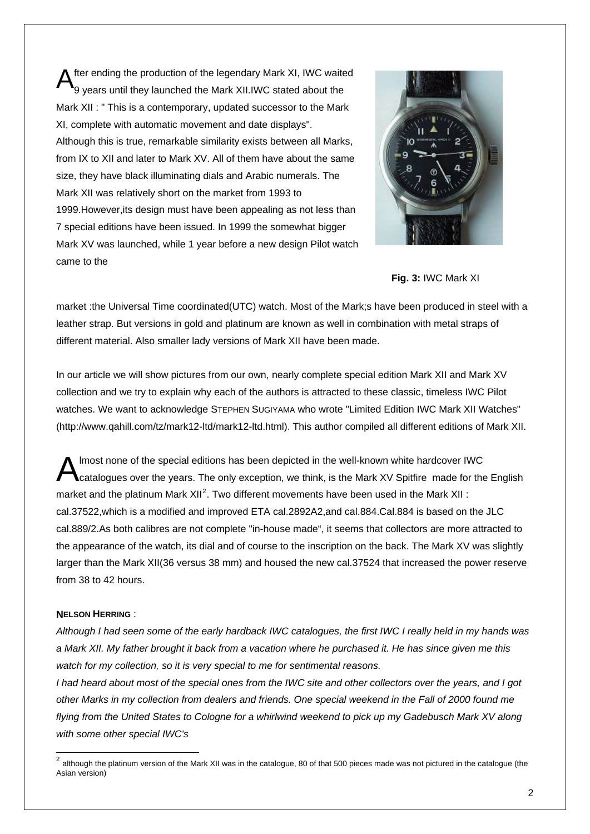fter ending the production of the legendary Mark XI, IWC waited 9 years until they launched the Mark XII.IWC stated about the Mark XII : " This is a contemporary, updated successor to the Mark XI, complete with automatic movement and date displays". Although this is true, remarkable similarity exists between all Marks, from IX to XII and later to Mark XV. All of them have about the same size, they have black illuminating dials and Arabic numerals. The Mark XII was relatively short on the market from 1993 to 1999.However,its design must have been appealing as not less than 7 special editions have been issued. In 1999 the somewhat bigger Mark XV was launched, while 1 year before a new design Pilot watch came to the A



**Fig. 3:** IWC Mark XI

market :the Universal Time coordinated(UTC) watch. Most of the Mark;s have been produced in steel with a leather strap. But versions in gold and platinum are known as well in combination with metal straps of different material. Also smaller lady versions of Mark XII have been made.

In our article we will show pictures from our own, nearly complete special edition Mark XII and Mark XV collection and we try to explain why each of the authors is attracted to these classic, timeless IWC Pilot watches. We want to acknowledge STEPHEN SUGIYAMA who wrote "Limited Edition IWC Mark XII Watches" (http://www.qahill.com/tz/mark12-ltd/mark12-ltd.html). This author compiled all different editions of Mark XII.

lmost none of the special editions has been depicted in the well-known white hardcover IWC catalogues over the years. The only exception, we think, is the Mark XV Spitfire made for the English market and the platinum Mark XII<sup>[2](#page-1-0)</sup>. Two different movements have been used in the Mark XII : cal.37522,which is a modified and improved ETA cal.2892A2,and cal.884.Cal.884 is based on the JLC cal.889/2.As both calibres are not complete "in-house made", it seems that collectors are more attracted to the appearance of the watch, its dial and of course to the inscription on the back. The Mark XV was slightly larger than the Mark XII(36 versus 38 mm) and housed the new cal.37524 that increased the power reserve from 38 to 42 hours. A

#### **NELSON HERRING** :

l

*Although I had seen some of the early hardback IWC catalogues, the first IWC I really held in my hands was a Mark XII. My father brought it back from a vacation where he purchased it. He has since given me this watch for my collection, so it is very special to me for sentimental reasons.* 

*I had heard about most of the special ones from the IWC site and other collectors over the years, and I got other Marks in my collection from dealers and friends. One special weekend in the Fall of 2000 found me flying from the United States to Cologne for a whirlwind weekend to pick up my Gadebusch Mark XV along with some other special IWC's* 

<span id="page-1-0"></span>although the platinum version of the Mark XII was in the catalogue, 80 of that 500 pieces made was not pictured in the catalogue (the Asian version)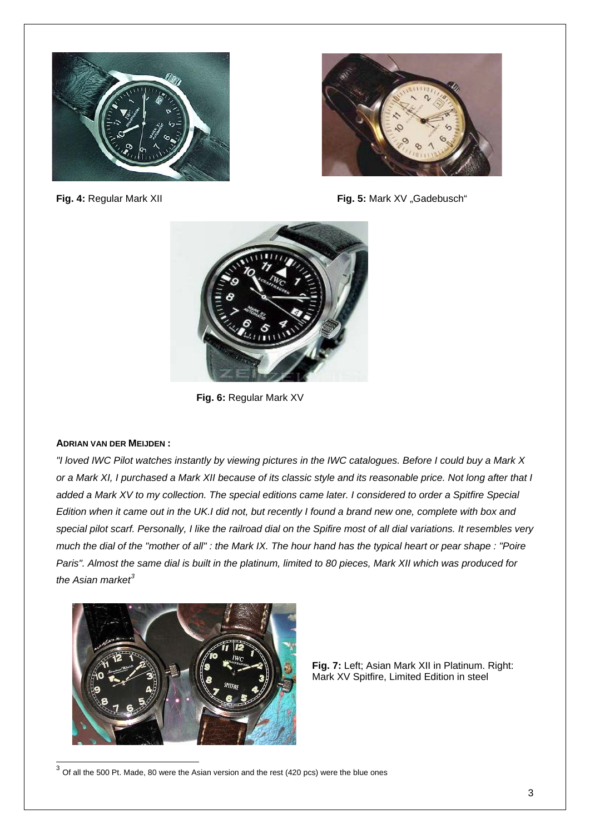



**Fig. 4: Regular Mark XII Fig. 4: Regular Mark XII Fig. 5: Mark XV** "Gadebusch"



**Fig. 6:** Regular Mark XV

#### **ADRIAN VAN DER MEIJDEN :**

l

*"I loved IWC Pilot watches instantly by viewing pictures in the IWC catalogues. Before I could buy a Mark X or a Mark XI, I purchased a Mark XII because of its classic style and its reasonable price. Not long after that I added a Mark XV to my collection. The special editions came later. I considered to order a Spitfire Special Edition when it came out in the UK.I did not, but recently I found a brand new one, complete with box and special pilot scarf. Personally, I like the railroad dial on the Spifire most of all dial variations. It resembles very much the dial of the "mother of all" : the Mark IX. The hour hand has the typical heart or pear shape : "Poire Paris". Almost the same dial is built in the platinum, limited to 80 pieces, Mark XII which was produced for the Asian market[3](#page-2-0)*



**Fig. 7:** Left; Asian Mark XII in Platinum. Right: Mark XV Spitfire, Limited Edition in steel

<span id="page-2-0"></span> $^3$  Of all the 500 Pt. Made, 80 were the Asian version and the rest (420 pcs) were the blue ones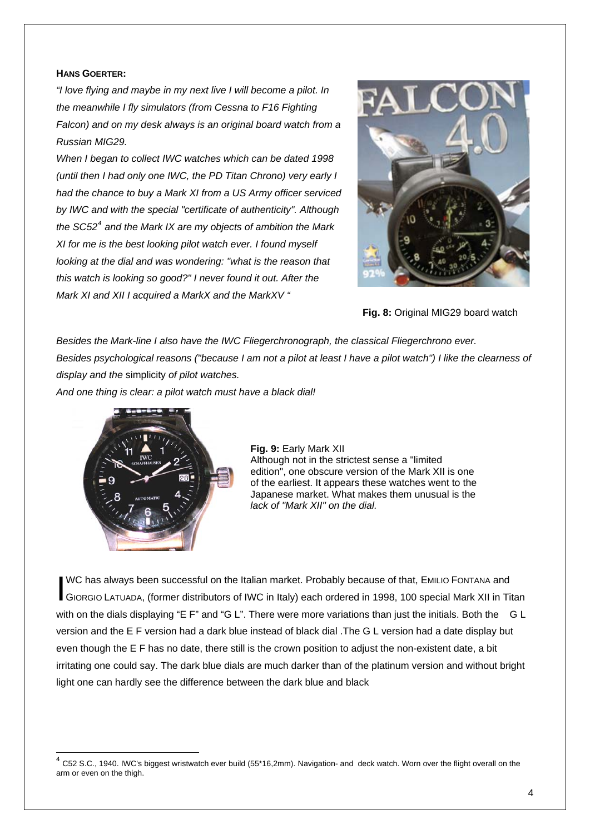#### **HANS GOERTER:**

*"I love flying and maybe in my next live I will become a pilot. In the meanwhile I fly simulators (from Cessna to F16 Fighting Falcon) and on my desk always is an original board watch from a Russian MIG29.* 

*When I began to collect IWC watches which can be dated 1998 (until then I had only one IWC, the PD Titan Chrono) very early I had the chance to buy a Mark XI from a US Army officer serviced by IWC and with the special "certificate of authenticity". Although the SC52[4](#page-3-0) and the Mark IX are my objects of ambition the Mark XI for me is the best looking pilot watch ever. I found myself looking at the dial and was wondering: "what is the reason that this watch is looking so good?" I never found it out. After the Mark XI and XII I acquired a MarkX and the MarkXV "* 



**Fig. 8: Original MIG29 board watch** 

*Besides the Mark-line I also have the IWC Fliegerchronograph, the classical Fliegerchrono ever. Besides psychological reasons ("because I am not a pilot at least I have a pilot watch") I like the clearness of display and the* simplicity *of pilot watches.* 

*And one thing is clear: a pilot watch must have a black dial!* 



l

**Fig. 9:** Early Mark XII Although not in the strictest sense a "limited edition", one obscure version of the Mark XII is one of the earliest. It appears these watches went to the Japanese market. What makes them unusual is the *lack of "Mark XII" on the dial.*

WC has always been successful on the Italian market. Probably because of that, EMILIO FONTANA and WC has always been successful on the Italian market. Probably because of that, EMILIO FONTANA and<br>GIORGIO LATUADA, (former distributors of IWC in Italy) each ordered in 1998, 100 special Mark XII in Titan with on the dials displaying "E F" and "G L". There were more variations than just the initials. Both the G L version and the E F version had a dark blue instead of black dial .The G L version had a date display but even though the E F has no date, there still is the crown position to adjust the non-existent date, a bit irritating one could say. The dark blue dials are much darker than of the platinum version and without bright light one can hardly see the difference between the dark blue and black

<span id="page-3-0"></span><sup>4</sup> C52 S.C., 1940. IWC's biggest wristwatch ever build (55\*16,2mm). Navigation- and deck watch. Worn over the flight overall on the arm or even on the thigh.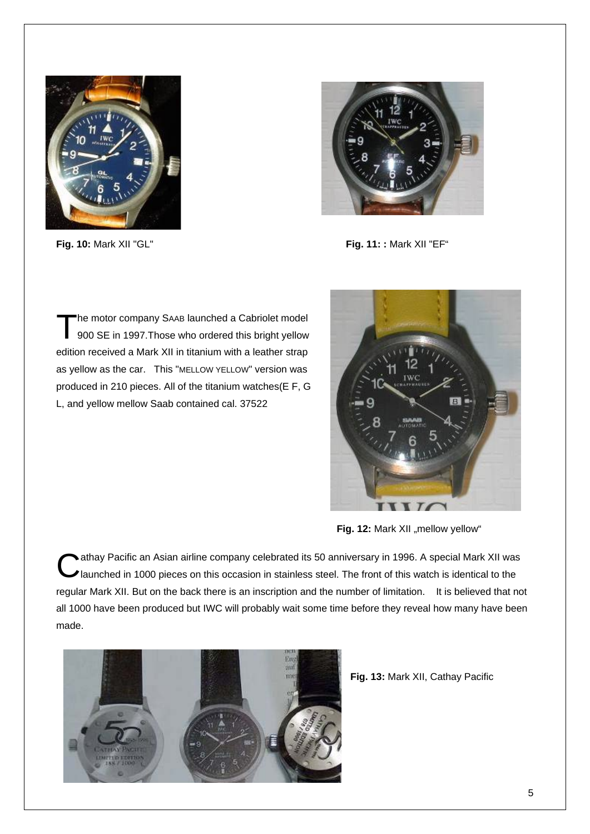

![](_page_4_Picture_2.jpeg)

**Fig. 10:** Mark XII "GL" **Fig. 11: :** Mark XII "EF"

he motor company SAAB launched a Cabriolet model The motor company SAAB launched a Cabriolet model<br>900 SE in 1997. Those who ordered this bright yellow edition received a Mark XII in titanium with a leather strap as yellow as the car. This "MELLOW YELLOW" version was produced in 210 pieces. All of the titanium watches(E F, G L, and yellow mellow Saab contained cal. 37522

![](_page_4_Picture_5.jpeg)

Fig. 12: Mark XII "mellow yellow"

Cathay Pacific an Asian airline company celebrated its 50 anniversary in 1996. A special Mark XII was<br>Il aunched in 1000 pieces on this occasion in stainless steel. The front of this watch is identical to the I aunched in 1000 pieces on this occasion in stainless steel. The front of this watch is identical to the regular Mark XII. But on the back there is an inscription and the number of limitation. It is believed that not all 1000 have been produced but IWC will probably wait some time before they reveal how many have been made.

![](_page_4_Picture_8.jpeg)

**Fig. 13:** Mark XII, Cathay Pacific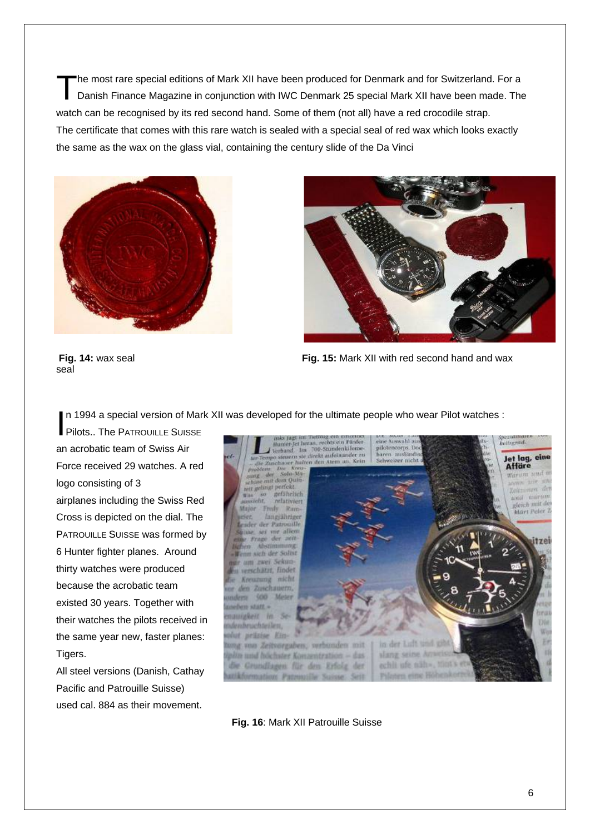he most rare special editions of Mark XII have been produced for Denmark and for Switzerland. For a The most rare special editions of Mark XII have been produced for Denmark and for Switzerland. For a<br>Danish Finance Magazine in conjunction with IWC Denmark 25 special Mark XII have been made. The watch can be recognised by its red second hand. Some of them (not all) have a red crocodile strap. The certificate that comes with this rare watch is sealed with a special seal of red wax which looks exactly the same as the wax on the glass vial, containing the century slide of the Da Vinci

![](_page_5_Picture_1.jpeg)

![](_page_5_Picture_2.jpeg)

seal

**Fig. 14:** wax seal **Fig. 15:** Mark XII with red second hand and wax

Pilots.. The PATROUILLE SUISSE an acrobatic team of Swiss Air Force received 29 watches. A red logo consisting of 3 airplanes including the Swiss Red Cross is depicted on the dial. The PATROUILLE SUISSE was formed by 6 Hunter fighter planes. Around thirty watches were produced because the acrobatic team existed 30 years. Together with their watches the pilots received in the same year new, faster planes: Tigers.

All steel versions (Danish, Cathay Pacific and Patrouille Suisse) used cal. 884 as their movement.

![](_page_5_Picture_8.jpeg)

**Fig. 16**: Mark XII Patrouille Suisse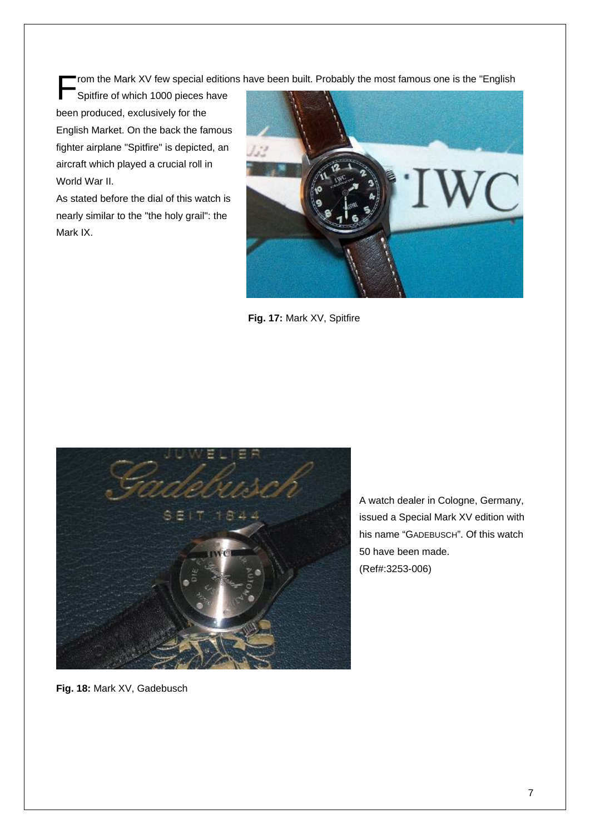Spitfire of which 1000 pieces have been produced, exclusively for the English Market. On the back the famous fighter airplane "Spitfire" is depicted, an aircraft which played a crucial roll in World War II

As stated before the dial of this watch is nearly similar to the "the holy grail": the Mark IX.

![](_page_6_Picture_3.jpeg)

 **Fig. 17:** Mark XV, Spitfire

![](_page_6_Picture_5.jpeg)

A watch dealer in Cologne, Germany, issued a Special Mark XV edition with his name "GADEBUSCH". Of this watch 50 have been made. (Ref#:3253-006)

**Fig. 18:** Mark XV, Gadebusch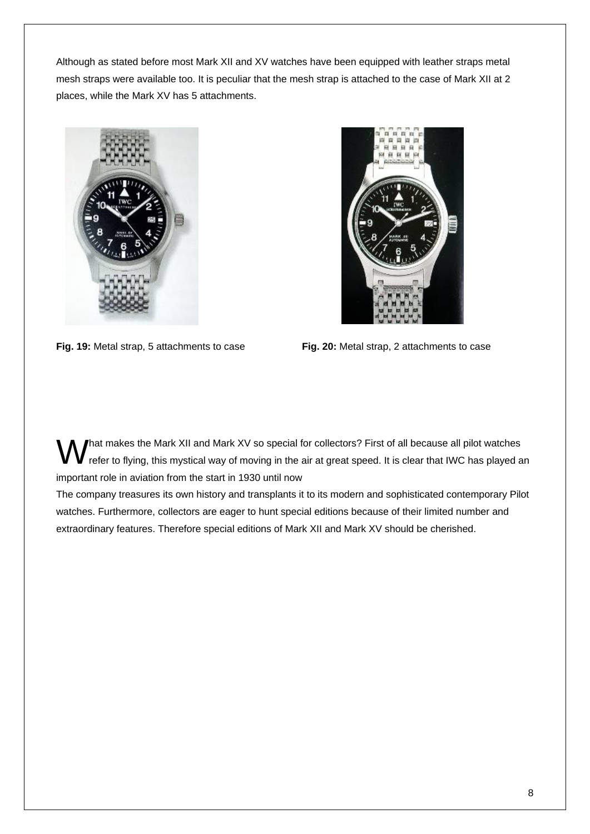Although as stated before most Mark XII and XV watches have been equipped with leather straps metal mesh straps were available too. It is peculiar that the mesh strap is attached to the case of Mark XII at 2 places, while the Mark XV has 5 attachments.

![](_page_7_Picture_1.jpeg)

**Fig. 19:** Metal strap, 5 attachments to case **Fig. 20:** Metal strap, 2 attachments to case

![](_page_7_Picture_3.jpeg)

hat makes the Mark XII and Mark XV so special for collectors? First of all because all pilot watches M hat makes the Mark XII and Mark XV so special for collectors? First of all because all pilot watches<br>
The fer to flying, this mystical way of moving in the air at great speed. It is clear that IWC has played an important role in aviation from the start in 1930 until now

The company treasures its own history and transplants it to its modern and sophisticated contemporary Pilot watches. Furthermore, collectors are eager to hunt special editions because of their limited number and extraordinary features. Therefore special editions of Mark XII and Mark XV should be cherished.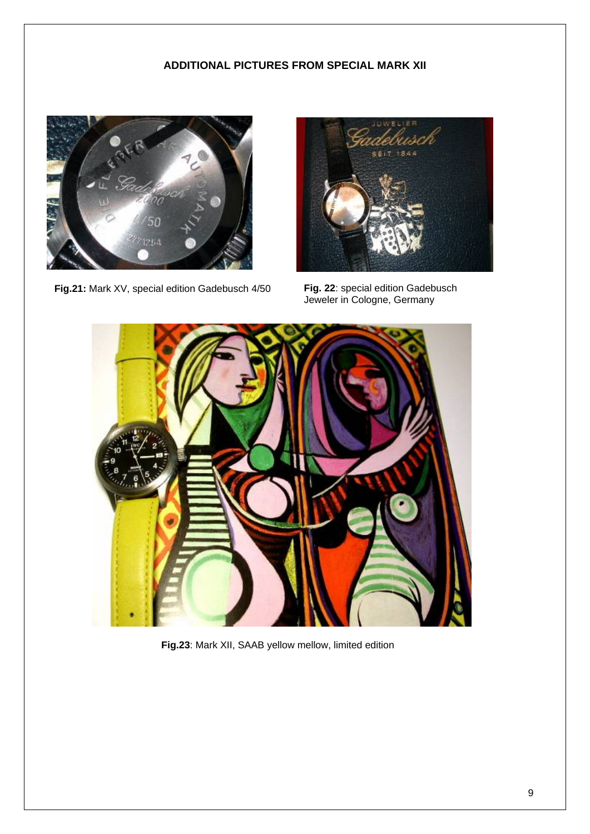### **ADDITIONAL PICTURES FROM SPECIAL MARK XII**

![](_page_8_Picture_1.jpeg)

**Fig.21:** Mark XV, special edition Gadebusch 4/50

![](_page_8_Picture_3.jpeg)

**Fig. 22**: special edition Gadebusch Jeweler in Cologne, Germany

![](_page_8_Picture_5.jpeg)

**Fig.23**: Mark XII, SAAB yellow mellow, limited edition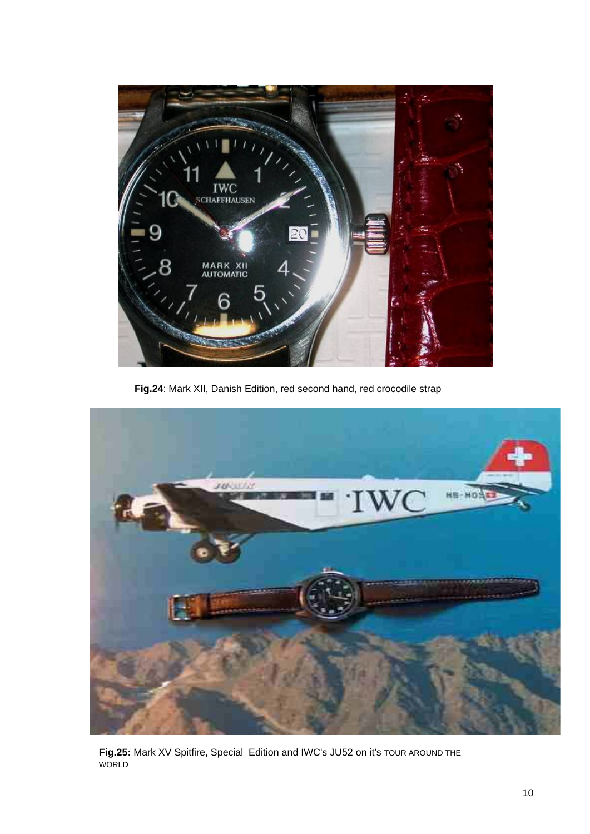![](_page_9_Picture_0.jpeg)

**Fig.24**: Mark XII, Danish Edition, red second hand, red crocodile strap

![](_page_9_Picture_2.jpeg)

**Fig.25:** Mark XV Spitfire, Special Edition and IWC's JU52 on it's TOUR AROUND THE WORLD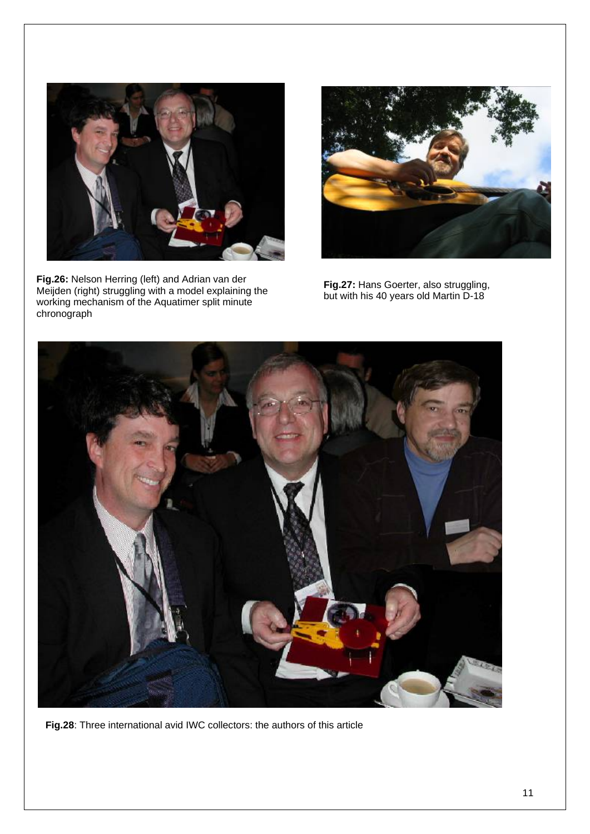![](_page_10_Picture_0.jpeg)

**Fig.26:** Nelson Herring (left) and Adrian van der Meijden (right) struggling with a model explaining the working mechanism of the Aquatimer split minute chronograph

![](_page_10_Picture_2.jpeg)

**Fig.27:** Hans Goerter, also struggling, but with his 40 years old Martin D-18

![](_page_10_Picture_4.jpeg)

**Fig.28**: Three international avid IWC collectors: the authors of this article